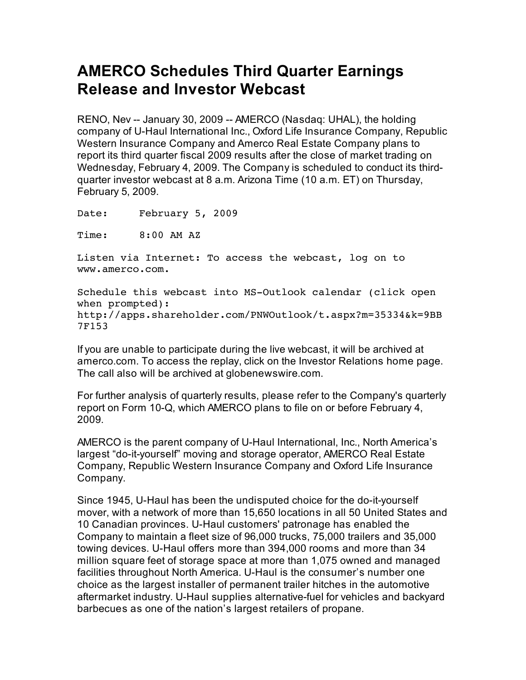## **AMERCO Schedules Third Quarter Earnings Release and Investor Webcast**

RENO, Nev -- January 30, 2009 -- AMERCO (Nasdaq: UHAL), the holding company of U-Haul International Inc., Oxford Life Insurance Company, Republic Western Insurance Company and Amerco Real Estate Company plans to report its third quarter fiscal 2009 results after the close of market trading on Wednesday, February 4, 2009. The Company is scheduled to conduct its thirdquarter investor webcast at 8 a.m. Arizona Time (10 a.m. ET) on Thursday, February 5, 2009.

Date: February 5, 2009

Time: 8:00 AM AZ

Listen via Internet: To access the webcast, log on to www.amerco.com.

Schedule this webcast into MS-Outlook calendar (click open when prompted): http://apps.shareholder.com/PNWOutlook/t.aspx?m=35334&k=9BB 7F153

If you are unable to participate during the live webcast, it will be archived at amerco.com. To access the replay, click on the Investor Relations home page. The call also will be archived at globenewswire.com.

For further analysis of quarterly results, please refer to the Company's quarterly report on Form 10-Q, which AMERCO plans to file on or before February 4, 2009.

AMERCO is the parent company of U-Haul International, Inc., North America's largest "do-it-yourself" moving and storage operator, AMERCO Real Estate Company, Republic Western Insurance Company and Oxford Life Insurance Company.

Since 1945, U-Haul has been the undisputed choice for the do-it-yourself mover, with a network of more than 15,650 locations in all 50 United States and 10 Canadian provinces. U-Haul customers' patronage has enabled the Company to maintain a fleet size of 96,000 trucks, 75,000 trailers and 35,000 towing devices. U-Haul offers more than 394,000 rooms and more than 34 million square feet of storage space at more than 1,075 owned and managed facilities throughout North America. U-Haul is the consumer's number one choice as the largest installer of permanent trailer hitches in the automotive aftermarket industry. U-Haul supplies alternative-fuel for vehicles and backyard barbecues as one of the nation's largest retailers of propane.